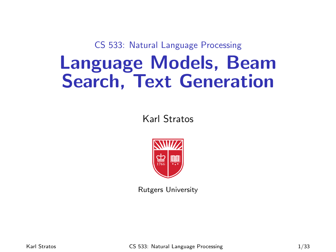CS 533: Natural Language Processing

## Language Models, Beam Search, Text Generation

Karl Stratos



Rutgers University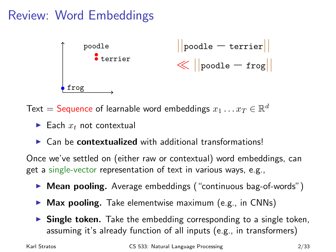### Review: Word Embeddings



Text = Sequence of learnable word embeddings  $x_1 \dots x_T \in \mathbb{R}^d$ 

- $\blacktriangleright$  Each  $x_t$  not contextual
- $\triangleright$  Can be contextualized with additional transformations!

Once we've settled on (either raw or contextual) word embeddings, can get a single-vector representation of text in various ways, e.g.,

- ▶ Mean pooling. Average embeddings ("continuous bag-of-words")
- $\triangleright$  Max pooling. Take elementwise maximum (e.g., in CNNs)
- $\triangleright$  Single token. Take the embedding corresponding to a single token, assuming it's already function of all inputs (e.g., in transformers)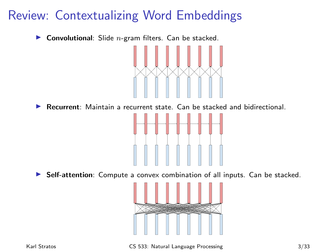#### Review: Contextualizing Word Embeddings

**Convolutional:** Slide  $n$ -gram filters. Can be stacked.



 $\blacktriangleright$  Recurrent: Maintain a recurrent state. Can be stacked and bidirectional.



**In Self-attention**: Compute a convex combination of all inputs. Can be stacked.

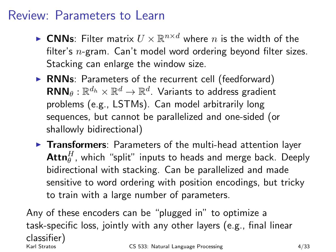#### Review: Parameters to Learn

- **CNNs:** Filter matrix  $U \times \mathbb{R}^{n \times d}$  where *n* is the width of the filter's  $n$ -gram. Can't model word ordering beyond filter sizes. Stacking can enlarge the window size.
- $\triangleright$  RNNs: Parameters of the recurrent cell (feedforward)  $\mathbf{RNN}_\theta: \mathbb{R}^{d_h} \times \mathbb{R}^{d} \to \mathbb{R}^{d}$ . Variants to address gradient problems (e.g., LSTMs). Can model arbitrarily long sequences, but cannot be parallelized and one-sided (or shallowly bidirectional)
- $\triangleright$  Transformers: Parameters of the multi-head attention layer  $\mathsf{Attn}_\theta^H$ , which "split" inputs to heads and merge back. Deeply bidirectional with stacking. Can be parallelized and made sensitive to word ordering with position encodings, but tricky to train with a large number of parameters.

Any of these encoders can be "plugged in" to optimize a task-specific loss, jointly with any other layers (e.g., final linear classifier) CS 533: Natural Language Processing 4/33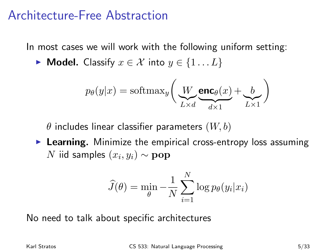#### Architecture-Free Abstraction

In most cases we will work with the following uniform setting:

► Model. Classify  $x \in \mathcal{X}$  into  $y \in \{1...L\}$ 

$$
p_{\theta}(y|x) = \text{softmax}_{y} \bigg( \underbrace{W}_{L \times d} \underbrace{\text{enc}_{\theta}(x)}_{d \times 1} + \underbrace{b}_{L \times 1} \bigg)
$$

 $\theta$  includes linear classifier parameters  $(W, b)$ 

 $\triangleright$  Learning. Minimize the empirical cross-entropy loss assuming  $N$  iid samples  $(x_i, y_i) \sim \mathbf{pop}$ 

$$
\widehat{J}(\theta) = \min_{\theta} -\frac{1}{N} \sum_{i=1}^{N} \log p_{\theta}(y_i | x_i)
$$

No need to talk about specific architectures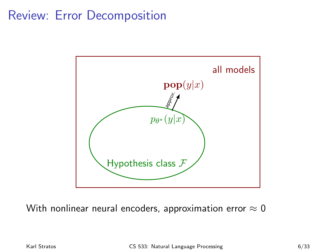#### Review: Error Decomposition



With nonlinear neural encoders, approximation error  $\approx 0$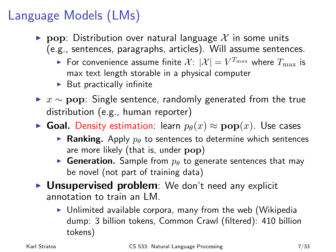### Language Models (LMs)

- **Pop:** Distribution over natural language X in some units (e.g., sentences, paragraphs, articles). Will assume sentences.
	- For convenience assume finite  $\mathcal{X}$ :  $|\mathcal{X}| = V^{T_{\max}}$  where  $T_{\max}$  is max text length storable in a physical computer
	- $\blacktriangleright$  But practically infinite
- ►  $x \sim$  pop: Single sentence, randomly generated from the true distribution (e.g., human reporter)
- ► Goal. Density estimation: learn  $p_{\theta}(x) \approx \mathbf{pop}(x)$ . Use cases
	- **Ranking.** Apply  $p_{\theta}$  to sentences to determine which sentences are more likely (that is, under pop)
	- **Generation.** Sample from  $p_{\theta}$  to generate sentences that may be novel (not part of training data)
- $\triangleright$  Unsupervised problem: We don't need any explicit annotation to train an LM.
	- $\triangleright$  Unlimited available corpora, many from the web (Wikipedia dump: 3 billion tokens, Common Crawl (filtered): 410 billion tokens)

Karl Stratos CS 533: Natural Language Processing 7/33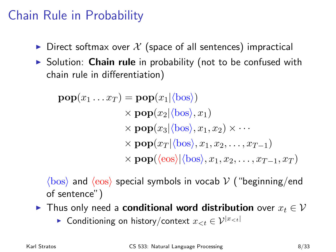#### Chain Rule in Probability

- $\triangleright$  Direct softmax over X (space of all sentences) impractical
- $\triangleright$  Solution: **Chain rule** in probability (not to be confused with chain rule in differentiation)

$$
\mathbf{pop}(x_1 \dots x_T) = \mathbf{pop}(x_1 | \langle \text{bos} \rangle)
$$
  
\n
$$
\times \mathbf{pop}(x_2 | \langle \text{bos} \rangle, x_1)
$$
  
\n
$$
\times \mathbf{pop}(x_3 | \langle \text{bos} \rangle, x_1, x_2) \times \cdots
$$
  
\n
$$
\times \mathbf{pop}(x_T | \langle \text{bos} \rangle, x_1, x_2, \dots, x_{T-1})
$$
  
\n
$$
\times \mathbf{pop}( \langle \text{eos} \rangle | \langle \text{bos} \rangle, x_1, x_2, \dots, x_{T-1}, x_T )
$$

 $\langle$ bos) and  $\langle$ eos) special symbols in vocab V ("beginning/end of sentence")

- ► Thus only need a **conditional word distribution** over  $x_t \in V$ 
	- ► Conditioning on history/context  $x_{$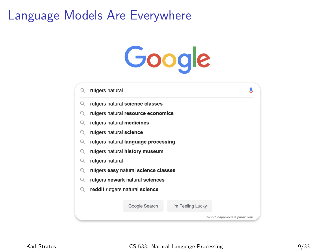#### Language Models Are Everywhere

# Google

|   | rutgers natural                      |  |                   |                                  |  |
|---|--------------------------------------|--|-------------------|----------------------------------|--|
| Q | rutgers natural science classes      |  |                   |                                  |  |
|   | rutgers natural resource economics   |  |                   |                                  |  |
|   | rutgers natural medicines            |  |                   |                                  |  |
| Q | rutgers natural science              |  |                   |                                  |  |
|   | rutgers natural language processing  |  |                   |                                  |  |
| Q | rutgers natural history museum       |  |                   |                                  |  |
|   | rutgers natural                      |  |                   |                                  |  |
| Q | rutgers easy natural science classes |  |                   |                                  |  |
|   | rutgers newark natural sciences      |  |                   |                                  |  |
|   | reddit rutgers natural science       |  |                   |                                  |  |
|   |                                      |  |                   |                                  |  |
|   | Google Search                        |  | I'm Feeling Lucky |                                  |  |
|   |                                      |  |                   | Report inappropriate predictions |  |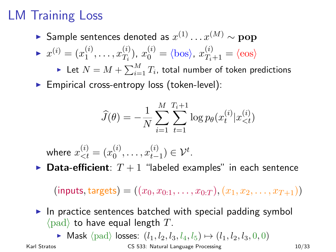### LM Training Loss

► Sample sentences denoted as  $x^{(1)} \dots x^{(M)} \sim \textbf{pop}$  $x^{(i)} = (x_1^{(i)}$  $x_1^{(i)}, \ldots, x_{T_i}^{(i)}$  $T_i^{(i)}$ ,  $x_0^{(i)} = \langle \text{bos} \rangle$ ,  $x_{T_i+1}^{(i)} = \langle \text{eos} \rangle$  $\blacktriangleright$  Let  $N = M + \sum_{i=1}^{M} T_i$ , total number of token predictions  $\blacktriangleright$  Empirical cross-entropy loss (token-level):

$$
\widehat{J}(\theta) = -\frac{1}{N} \sum_{i=1}^{M} \sum_{t=1}^{T_i+1} \log p_{\theta}(x_t^{(i)} | x_{
$$

where  $x^{(i)}_{< t} = (x^{(i)}_0$  $x_0^{(i)}, \ldots, x_{t-1}^{(i)}$  $_{t-1}^{(i)}) \in \mathcal{V}^{t}.$ 

**Data-efficient**:  $T + 1$  "labeled examples" in each sentence

 $(\text{inputs}, \text{targets}) = ((x_0, x_{0:1}, \ldots, x_{0:T}), (x_1, x_2, \ldots, x_{T+1}))$ 

 $\triangleright$  In practice sentences batched with special padding symbol  $\langle$  pad) to have equal length T.

► Mask  $\langle$  pad $\rangle$  losses:  $(l_1, l_2, l_3, l_4, l_5) \mapsto (l_1, l_2, l_3, 0, 0)$ 

Karl Stratos **CS 533: Natural Language Processing** 10/33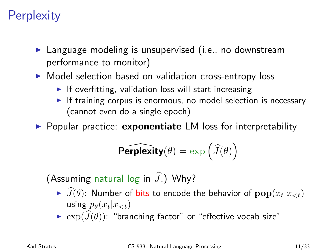#### **Perplexity**

- $\blacktriangleright$  Language modeling is unsupervised (i.e., no downstream performance to monitor)
- $\triangleright$  Model selection based on validation cross-entropy loss
	- $\blacktriangleright$  If overfitting, validation loss will start increasing
	- $\triangleright$  If training corpus is enormous, no model selection is necessary (cannot even do a single epoch)

 $\triangleright$  Popular practice: exponentiate LM loss for interpretability

$$
\widehat{\text{Perplexity}(\theta)} = \exp\left(\widehat{J}(\theta)\right)
$$

(Assuming natural log in  $\widehat{J}$ .) Why?

- $\widehat{J}(\theta)$ : Number of bits to encode the behavior of  $\textbf{pop}(x_t|x_{< t})$ using  $p_{\theta}(x_t|x_{$
- $\triangleright$   $\exp(\widehat{J}(\theta))$ : "branching factor" or "effective vocab size"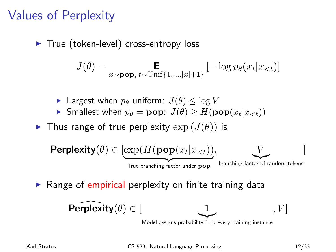#### Values of Perplexity

 $\blacktriangleright$  True (token-level) cross-entropy loss

$$
J(\theta) = \mathop{\mathbf{E}}_{x \sim \text{pop}, t \sim \text{Unif}\{1, \dots, |x|+1\}} \left[-\log p_\theta(x_t | x_{
$$

- **Largest when**  $p_{\theta}$  **uniform:**  $J(\theta) < \log V$
- **Figure Smallest when**  $p_{\theta} = \textbf{pop}$ **:**  $J(\theta) \geq H(\textbf{pop}(x_t|x_{\leq t}))$

In Thus range of true perplexity  $\exp(J(\theta))$  is



 $\triangleright$  Range of empirical perplexity on finite training data

$$
\widehat{\text{Perplexity}(\theta)} \in [\underbrace{1}_{\text{Model assigns probability 1 to every training instance}}, V]
$$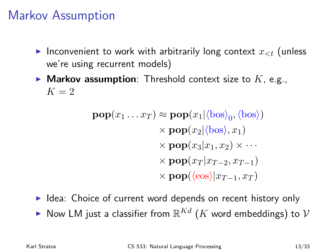#### Markov Assumption

- Inconvenient to work with arbitrarily long context  $x_{\leq t}$  (unless we're using recurrent models)
- Markov assumption: Threshold context size to  $K$ , e.g.,  $K=2$

$$
\mathbf{pop}(x_1 \dots x_T) \approx \mathbf{pop}(x_1 | \langle \text{bos} \rangle_0, \langle \text{bos} \rangle)
$$
  
\$\times \mathbf{pop}(x\_2 | \langle \text{bos} \rangle, x\_1)\$  
\$\times \mathbf{pop}(x\_3 | x\_1, x\_2) \times \dots\$  
\$\times \mathbf{pop}(x\_T | x\_{T-2}, x\_{T-1})\$  
\$\times \mathbf{pop}(\langle \text{eos} \rangle | x\_{T-1}, x\_T)\$

- $\blacktriangleright$  Idea: Choice of current word depends on recent history only
- $\blacktriangleright$  Now LM just a classifier from  $\mathbb{R}^{Kd}$   $(K$  word embeddings) to  $\mathcal V$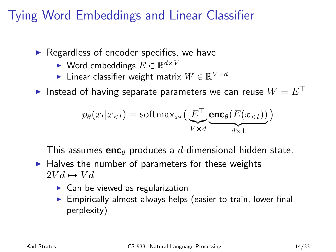#### Tying Word Embeddings and Linear Classifier

- $\triangleright$  Regardless of encoder specifics, we have
	- ► Word embeddings  $E \in \mathbb{R}^{d \times V}$
	- ► Linear classifier weight matrix  $W \in \mathbb{R}^{V \times d}$
- Instead of having separate parameters we can reuse  $W = E^{\top}$

$$
p_{\theta}(x_t | x_{< t}) = \text{softmax}_{x_t} \Big( \underbrace{E^{\top} \underbrace{\text{enc}_{\theta}(E(x_{< t}))}}_{d \times 1} \Big)
$$

This assumes enc<sub> $\theta$ </sub> produces a d-dimensional hidden state.

- $\blacktriangleright$  Halves the number of parameters for these weights  $2V d \mapsto V d$ 
	- $\triangleright$  Can be viewed as regularization
	- $\triangleright$  Empirically almost always helps (easier to train, lower final perplexity)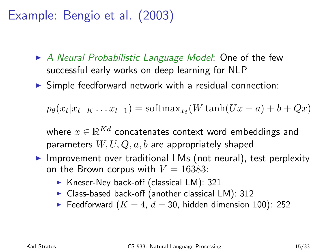#### Example: Bengio et al. (2003)

- $\triangleright$  A Neural Probabilistic Language Model: One of the few successful early works on deep learning for NLP
- $\triangleright$  Simple feedforward network with a residual connection:

$$
p_{\theta}(x_t | x_{t-K} \dots x_{t-1}) = \text{softmax}_{x_t}(W \tanh(Ux + a) + b + Qx)
$$

where  $x \in \mathbb{R}^{Kd}$  concatenates context word embeddings and parameters  $W, U, Q, a, b$  are appropriately shaped

- $\triangleright$  Improvement over traditional LMs (not neural), test perplexity on the Brown corpus with  $V = 16383$ :
	- $\triangleright$  Kneser-Ney back-off (classical LM): 321
	- $\triangleright$  Class-based back-off (another classical LM): 312
	- Feedforward ( $K = 4$ ,  $d = 30$ , hidden dimension 100): 252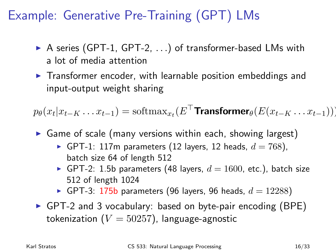#### Example: Generative Pre-Training (GPT) LMs

- $\triangleright$  A series (GPT-1, GPT-2,  $\ldots$ ) of transformer-based LMs with a lot of media attention
- $\triangleright$  Transformer encoder, with learnable position embeddings and input-output weight sharing

 $p_{\theta}(x_t | x_{t-K} \dots x_{t-1}) = \text{softmax}_{x_t}(E^{\top}$ Transformer $_{\theta}(E(x_{t-K} \dots x_{t-1})))$ 

- $\triangleright$  Game of scale (many versions within each, showing largest)
	- GPT-1: 117m parameters (12 layers, 12 heads,  $d = 768$ ), batch size 64 of length 512
	- GPT-2: 1.5b parameters (48 layers,  $d = 1600$ , etc.), batch size 512 of length 1024
	- GPT-3: 175b parameters (96 layers, 96 heads,  $d = 12288$ )
- $\triangleright$  GPT-2 and 3 vocabulary: based on byte-pair encoding (BPE) tokenization ( $V = 50257$ ), language-agnostic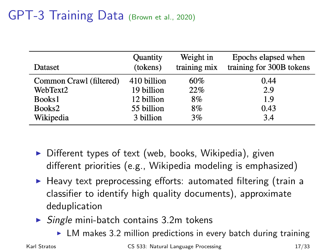### GPT-3 Training Data (Brown et al., 2020)

| Dataset                 | Quantity    | Weight in    | Epochs elapsed when      |
|-------------------------|-------------|--------------|--------------------------|
|                         | (tokens)    | training mix | training for 300B tokens |
| Common Crawl (filtered) | 410 billion | 60%          | 0.44                     |
| WebText2                | 19 billion  | 22%          | 2.9                      |
| Books1                  | 12 billion  | 8%           | 1.9                      |
| Books2                  | 55 billion  | 8%           | 0.43                     |
| Wikipedia               | 3 billion   | 3%           | 3.4                      |

- $\triangleright$  Different types of text (web, books, Wikipedia), given different priorities (e.g., Wikipedia modeling is emphasized)
- $\blacktriangleright$  Heavy text preprocessing efforts: automated filtering (train a classifier to identify high quality documents), approximate deduplication
- $\triangleright$  Single mini-batch contains 3.2m tokens
	- $\triangleright$  LM makes 3.2 million predictions in every batch during training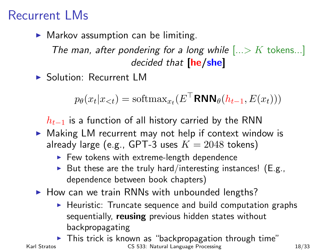#### Recurrent LMs

 $\blacktriangleright$  Markov assumption can be limiting.

The man, after pondering for a long while  $|...>K$  tokens...] decided that [he/she]

▶ Solution: Recurrent LM

$$
p_{\theta}(x_t | x_{< t}) = \text{softmax}_{x_t}(E^{\top} \text{RNN}_{\theta}(h_{t-1}, E(x_t)))
$$

 $h_{t-1}$  is a function of all history carried by the RNN

- $\triangleright$  Making LM recurrent may not help if context window is already large (e.g., GPT-3 uses  $K = 2048$  tokens)
	- $\blacktriangleright$  Few tokens with extreme-length dependence
	- But these are the truly hard/interesting instances! (E.g., dependence between book chapters)
- $\blacktriangleright$  How can we train RNNs with unbounded lengths?
	- $\blacktriangleright$  Heuristic: Truncate sequence and build computation graphs sequentially, reusing previous hidden states without backpropagating
- $\blacktriangleright$  This trick is known as "backpropagation through time" Karl Stratos **CS 533:** Natural Language Processing 18/33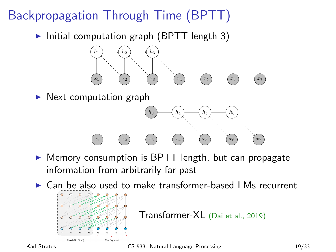## Backpropagation Through Time (BPTT)

Initial computation graph (BPTT length 3)



 $\triangleright$  Next computation graph



 $\triangleright$  Memory consumption is BPTT length, but can propagate information from arbitrarily far past

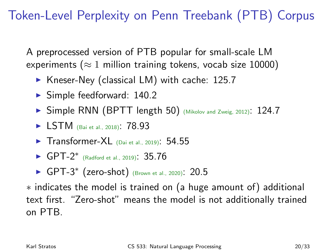#### Token-Level Perplexity on Penn Treebank (PTB) Corpus

A preprocessed version of PTB popular for small-scale LM experiments ( $\approx 1$  million training tokens, vocab size 10000)

- $\blacktriangleright$  Kneser-Ney (classical LM) with cache: 125.7
- $\blacktriangleright$  Simple feedforward: 140.2
- ▶ Simple RNN (BPTT length 50) (Mikolov and Zweig, 2012): 124.7
- **I** LSTM (Bai et al., 2018): 78.93
- $\blacktriangleright$  Transformer-XL (Dai et al., 2019): 54.55
- ► GPT-2<sup>\*</sup> (Radford et al., 2019): 35.76
- ► GPT-3<sup>\*</sup> (zero-shot) (Brown et al., 2020): 20.5

∗ indicates the model is trained on (a huge amount of) additional text first. "Zero-shot" means the model is not additionally trained on PTB.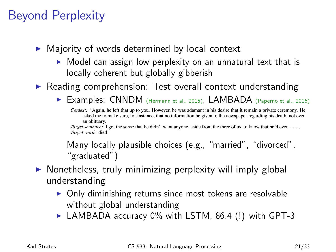#### Beyond Perplexity

- $\triangleright$  Majority of words determined by local context
	- $\triangleright$  Model can assign low perplexity on an unnatural text that is locally coherent but globally gibberish

 $\triangleright$  Reading comprehension: Test overall context understanding

▶ Examples: CNNDM (Hermann et al., 2015), LAMBADA (Paperno et al., 2016)

Context: "Again, he left that up to you. However, he was adamant in his desire that it remain a private ceremony. He asked me to make sure, for instance, that no information be given to the newspaper regarding his death, not even an obituary.

Target sentence: I got the sense that he didn't want anyone, aside from the three of us, to know that he'd even \_\_\_\_\_. Target word: died

Many locally plausible choices (e.g., "married", "divorced", "graduated")

#### $\triangleright$  Nonetheless, truly minimizing perplexity will imply global understanding

- $\triangleright$  Only diminishing returns since most tokens are resolvable without global understanding
- $\blacktriangleright$  LAMBADA accuracy 0% with LSTM, 86.4 (!) with GPT-3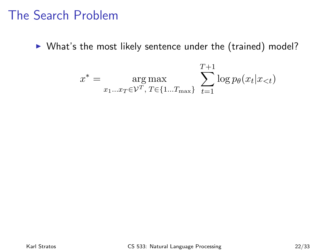#### The Search Problem

 $\triangleright$  What's the most likely sentence under the (trained) model?

$$
x^* = \underset{x_1...x_T \in \mathcal{V}^T, T \in \{1...T_{\text{max}}\}}{\arg \max} \sum_{t=1}^{T+1} \log p_{\theta}(x_t | x_{< t})
$$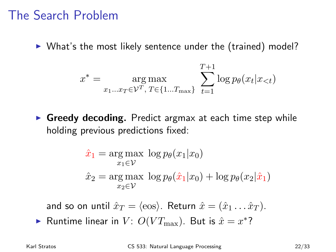#### The Search Problem

 $\triangleright$  What's the most likely sentence under the (trained) model?

$$
x^* = \underset{x_1...x_T \in \mathcal{V}^T, T \in \{1...T_{\text{max}}\}}{\arg \max} \sum_{t=1}^{T+1} \log p_{\theta}(x_t | x_{< t})
$$

 $\triangleright$  Greedy decoding. Predict argmax at each time step while holding previous predictions fixed:

$$
\hat{x}_1 = \underset{x_1 \in \mathcal{V}}{\arg \max} \log p_{\theta}(x_1 | x_0)
$$

$$
\hat{x}_2 = \underset{x_2 \in \mathcal{V}}{\arg \max} \log p_{\theta}(\hat{x}_1 | x_0) + \log p_{\theta}(x_2 | \hat{x}_1)
$$

and so on until  $\hat{x}_T = \langle \cos \rangle$ . Return  $\hat{x} = (\hat{x}_1 \dots \hat{x}_T)$ .

Runtime linear in  $V: O(VT_{\text{max}})$ . But is  $\hat{x} = x^*$ ?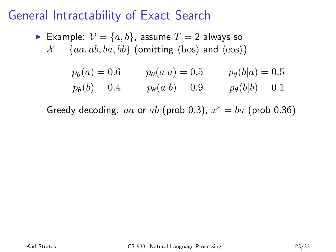#### General Intractability of Exact Search

► Example: 
$$
V = \{a, b\}
$$
, assume  $T = 2$  always so  
\n $\mathcal{X} = \{aa, ab, ba, bb\}$  (omitting  $\langle$ bos $\rangle$  and  $\langle$ eos $\rangle$ )  
\n $p_{\theta}(a) = 0.6$   $p_{\theta}(a|a) = 0.5$   $p_{\theta}(b|a) = 0.5$   
\n $p_{\theta}(b) = 0.4$   $p_{\theta}(a|b) = 0.9$   $p_{\theta}(b|b) = 0.1$ 

Greedy decoding: aa or ab (prob 0.3),  $x^* = ba$  (prob 0.36)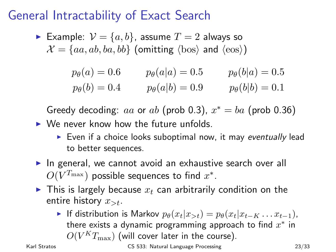#### General Intractability of Exact Search

Example:  $V = \{a, b\}$ , assume  $T = 2$  always so  $\mathcal{X} = \{aa, ab, ba, bb\}$  (omitting  $\langle bos \rangle$  and  $\langle eos \rangle$ )

$$
p_{\theta}(a) = 0.6
$$
  $p_{\theta}(a|a) = 0.5$   $p_{\theta}(b|a) = 0.5$   
\n $p_{\theta}(b) = 0.4$   $p_{\theta}(a|b) = 0.9$   $p_{\theta}(b|b) = 0.1$ 

Greedy decoding: aa or ab (prob 0.3),  $x^* = ba$  (prob 0.36)  $\triangleright$  We never know how the future unfolds.

- $\triangleright$  Even if a choice looks suboptimal now, it may eventually lead to better sequences.
- $\triangleright$  In general, we cannot avoid an exhaustive search over all  $O(V^{T_{\max}})$  possible sequences to find  $x^*.$
- $\blacktriangleright$  This is largely because  $x_t$  can arbitrarily condition on the entire history  $x_{\geq t}$ .
	- If distribution is Markov  $p_{\theta}(x_t|x_{>t}) = p_{\theta}(x_t|x_{t-K} \dots x_{t-1}),$ there exists a dynamic programming approach to find  $x^*$  in  $O(V^K T_{\mathrm{max}})$  (will cover later in the course).

Karl Stratos **CS 533:** Natural Language Processing 23/33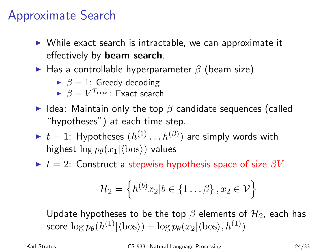#### Approximate Search

- $\triangleright$  While exact search is intractable, we can approximate it effectively by beam search.
- $\triangleright$  Has a controllable hyperparameter  $\beta$  (beam size)
	- $\triangleright$   $\beta = 1$ : Greedy decoding
	- $\blacktriangleright$   $\beta = V^{T_{\max}}$ : Exact search
- I Idea: Maintain only the top  $\beta$  candidate sequences (called "hypotheses") at each time step.
- $\blacktriangleright$   $t=1$ : Hypotheses  $(h^{(1)}\dots h^{(\beta)})$  are simply words with highest  $\log p_{\theta}(x_1|\langle \text{bos} \rangle)$  values
- $\blacktriangleright$   $t = 2$ : Construct a stepwise hypothesis space of size  $\beta V$

$$
\mathcal{H}_2 = \left\{ h^{(b)}x_2 | b \in \{1 \dots \beta\}, x_2 \in \mathcal{V} \right\}
$$

Update hypotheses to be the top  $\beta$  elements of  $\mathcal{H}_2$ , each has score  $\log p_\theta(h^{(1)}|\langle \rm{bos}\rangle) + \log p_\theta(x_2|\langle \rm{bos}\rangle, h^{(1)})$ 

Karl Stratos CS 533: Natural Language Processing 24/33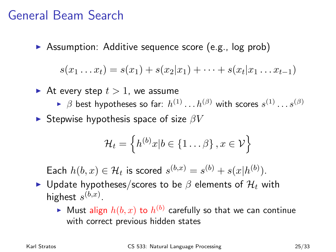#### General Beam Search

 $\triangleright$  Assumption: Additive sequence score (e.g., log prob)

$$
s(x_1...x_t) = s(x_1) + s(x_2|x_1) + \cdots + s(x_t|x_1...x_{t-1})
$$

- At every step  $t > 1$ , we assume
	- $\blacktriangleright$   $\beta$  best hypotheses so far:  $h^{(1)}\ldots h^{(\beta)}$  with scores  $s^{(1)}\ldots s^{(\beta)}$
- **In Stepwise hypothesis space of size**  $\beta V$

$$
\mathcal{H}_t = \left\{ h^{(b)}x | b \in \{1 \dots \beta\}, x \in \mathcal{V} \right\}
$$

Each  $h(b, x) \in \mathcal{H}_t$  is scored  $s^{(b,x)} = s^{(b)} + s(x|h^{(b)})$ .

- $\triangleright$  Update hypotheses/scores to be β elements of  $\mathcal{H}_t$  with highest  $s^{(b,x)}$ .
	- $\blacktriangleright$  Must align  $h(b,x)$  to  $h^{(b)}$  carefully so that we can continue with correct previous hidden states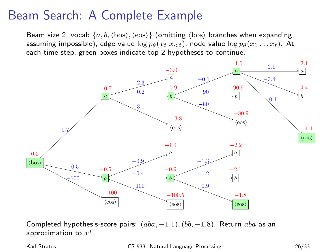#### Beam Search: A Complete Example

Beam size 2, vocab  $\{a, b, \langle bos \rangle, \langle eos \rangle\}$  (omitting  $\langle bos \rangle$  branches when expanding assuming impossible), edge value  $\log p_{\theta}(x_t|x_{< t})$ , node value  $\log p_{\theta}(x_1 \ldots x_t)$ . At each time step, green boxes indicate top-2 hypotheses to continue.



Completed hypothesis-score pairs:  $(aba, -1.1), (bb, -1.8)$ . Return aba as an approximation to  $x^*$ .

Karl Stratos CS 533: Natural Language Processing 26/33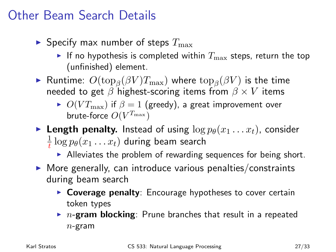#### Other Beam Search Details

- $\blacktriangleright$  Specify max number of steps  $T_{\max}$ 
	- If no hypothesis is completed within  $T_{\text{max}}$  steps, return the top (unfinished) element.
- ► Runtime:  $O(\mathrm{top}_\beta(\beta V) T_{\max})$  where  $\mathrm{top}_\beta(\beta V)$  is the time needed to get  $\beta$  highest-scoring items from  $\beta \times V$  items
	- $O(V_{\text{max}})$  if  $\beta = 1$  (greedy), a great improvement over brute-force  $O(V^{T_{\max}})$
- **Length penalty.** Instead of using  $\log p_{\theta}(x_1 \dots x_t)$ , consider 1  $\frac{1}{t} \log p_\theta(x_1 \dots x_t)$  during beam search
	- $\blacktriangleright$  Alleviates the problem of rewarding sequences for being short.
- $\triangleright$  More generally, can introduce various penalties/constraints during beam search
	- $\triangleright$  Coverage penalty: Encourage hypotheses to cover certain token types
	- $\triangleright$  n-gram blocking: Prune branches that result in a repeated  $n$ -gram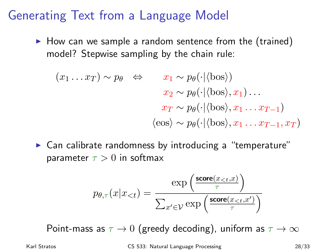#### Generating Text from a Language Model

 $\blacktriangleright$  How can we sample a random sentence from the (trained) model? Stepwise sampling by the chain rule:

$$
(x_1 \dots x_T) \sim p_{\theta} \Leftrightarrow x_1 \sim p_{\theta}(\cdot | \langle \text{bos} \rangle)
$$
  

$$
x_2 \sim p_{\theta}(\cdot | \langle \text{bos} \rangle, x_1) \dots
$$
  

$$
x_T \sim p_{\theta}(\cdot | \langle \text{bos} \rangle, x_1 \dots x_{T-1})
$$
  

$$
\langle \text{eos} \rangle \sim p_{\theta}(\cdot | \langle \text{bos} \rangle, x_1 \dots x_{T-1}, x_T)
$$

 $\triangleright$  Can calibrate randomness by introducing a "temperature" parameter  $\tau > 0$  in softmax

$$
p_{\theta,\tau}(x|x_{
$$

Point-mass as  $\tau \to 0$  (greedy decoding), uniform as  $\tau \to \infty$ 

Karl Stratos CS 533: Natural Language Processing 28/33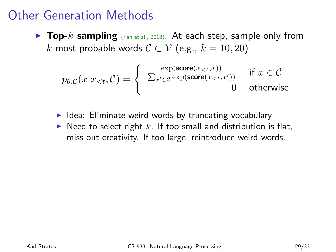#### Other Generation Methods

**Top-**k sampling  $(Fan et al., 2018)$ . At each step, sample only from k most probable words  $C ⊂ V$  (e.g.,  $k = 10, 20$ )

$$
p_{\theta,C}(x|x_{< t}, \mathcal{C}) = \begin{cases} \frac{\exp(\mathbf{score}(x_{< t}, x))}{\sum_{x' \in \mathcal{C}} \exp(\mathbf{score}(x_{< t}, x'))} & \text{if } x \in \mathcal{C} \\ 0 & \text{otherwise} \end{cases}
$$

- $\blacktriangleright$  Idea: Eliminate weird words by truncating vocabulary
- $\triangleright$  Need to select right k. If too small and distribution is flat, miss out creativity. If too large, reintroduce weird words.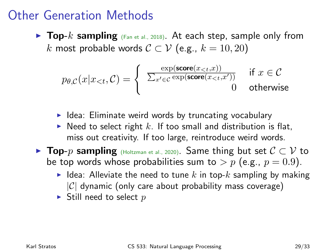#### Other Generation Methods

**Top-**k sampling  $(Fan et al., 2018)$ . At each step, sample only from k most probable words  $C \subset V$  (e.g.,  $k = 10, 20$ )

$$
p_{\theta,C}(x|x_{< t}, \mathcal{C}) = \begin{cases} \frac{\exp(\mathbf{score}(x_{< t}, x))}{\sum_{x' \in \mathcal{C}} \exp(\mathbf{score}(x_{< t}, x'))} & \text{if } x \in \mathcal{C} \\ 0 & \text{otherwise} \end{cases}
$$

- $\blacktriangleright$  Idea: Eliminate weird words by truncating vocabulary
- $\triangleright$  Need to select right k. If too small and distribution is flat, miss out creativity. If too large, reintroduce weird words.
- **Fop-***p* sampling (Holtzman et al., 2020). Same thing but set  $C \subset V$  to be top words whose probabilities sum to  $> p$  (e.g.,  $p = 0.9$ ).
	- I Idea: Alleviate the need to tune k in top-k sampling by making  $|C|$  dynamic (only care about probability mass coverage)
	- $\blacktriangleright$  Still need to select p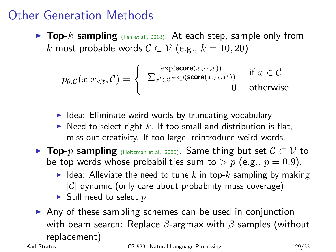#### Other Generation Methods

**Top-**k sampling  $(Fan et al., 2018)$ . At each step, sample only from k most probable words  $C \subset V$  (e.g.,  $k = 10, 20$ )

$$
p_{\theta,C}(x|x_{< t}, \mathcal{C}) = \begin{cases} \frac{\exp(\mathbf{score}(x_{< t}, x))}{\sum_{x' \in \mathcal{C}} \exp(\mathbf{score}(x_{< t}, x'))} & \text{if } x \in \mathcal{C} \\ 0 & \text{otherwise} \end{cases}
$$

- $\blacktriangleright$  Idea: Eliminate weird words by truncating vocabulary
- $\triangleright$  Need to select right k. If too small and distribution is flat, miss out creativity. If too large, reintroduce weird words.
- **Fop-***p* sampling (Holtzman et al., 2020). Same thing but set  $C \subset V$  to be top words whose probabilities sum to  $> p$  (e.g.,  $p = 0.9$ ).
	- I Idea: Alleviate the need to tune k in top-k sampling by making  $|C|$  dynamic (only care about probability mass coverage)
	- $\blacktriangleright$  Still need to select p
- $\triangleright$  Any of these sampling schemes can be used in conjunction with beam search: Replace  $\beta$ -argmax with  $\beta$  samples (without replacement)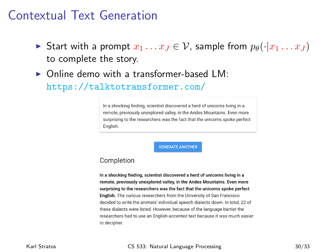#### Contextual Text Generation

- **►** Start with a prompt  $x_1 \ldots x_J \in V$ , sample from  $p_\theta(\cdot|x_1 \ldots x_J)$ to complete the story.
- $\triangleright$  Online demo with a transformer-based LM.

<https://talktotransformer.com/>

In a shocking finding, scientist discovered a herd of unicorns living in a remote, previously unexplored valley, in the Andes Mountains. Even more surprising to the researchers was the fact that the unicorns spoke perfect Fnalish

**GENERATE ANOTHER** 

#### Completion

In a shocking finding, scientist discovered a herd of unicorns living in a remote, previously unexplored valley, in the Andes Mountains, Even more surprising to the researchers was the fact that the unicorns spoke perfect English. The curious researchers from the University of San Francisco decided to write the animals' individual speech dialects down. In total, 22 of these dialects were listed. However, because of the language barrier the researchers had to use an English-accented text because it was much easier to decipher.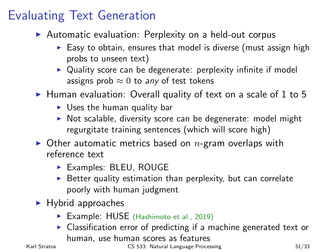#### Evaluating Text Generation

- $\triangleright$  Automatic evaluation: Perplexity on a held-out corpus
	- $\triangleright$  Easy to obtain, ensures that model is diverse (must assign high probs to unseen text)
	- $\triangleright$  Quality score can be degenerate: perplexity infinite if model assigns prob  $\approx 0$  to any of test tokens

 $\blacktriangleright$  Human evaluation: Overall quality of text on a scale of 1 to 5

- $\triangleright$  Uses the human quality bar
- $\triangleright$  Not scalable, diversity score can be degenerate: model might regurgitate training sentences (which will score high)
- $\triangleright$  Other automatic metrics based on n-gram overlaps with reference text
	- Examples: BLEU, ROUGE
	- $\triangleright$  Better quality estimation than perplexity, but can correlate poorly with human judgment
- $\blacktriangleright$  Hybrid approaches
	- ▶ Example: HUSE (Hashimoto et al., 2019)
	- $\triangleright$  Classification error of predicting if a machine generated text or human, use human scores as features

Karl Stratos CS 533: Natural Language Processing 31/33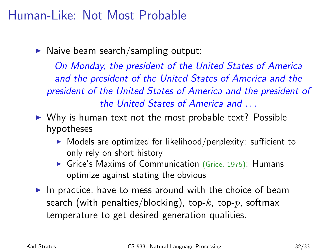#### Human-Like: Not Most Probable

 $\blacktriangleright$  Naive beam search/sampling output:

On Monday, the president of the United States of America and the president of the United States of America and the president of the United States of America and the president of the United States of America and . . .

- $\triangleright$  Why is human text not the most probable text? Possible hypotheses
	- $\triangleright$  Models are optimized for likelihood/perplexity: sufficient to only rely on short history
	- $\triangleright$  Grice's Maxims of Communication (Grice, 1975): Humans optimize against stating the obvious
- In practice, have to mess around with the choice of beam search (with penalties/blocking), top- $k$ , top- $p$ , softmax temperature to get desired generation qualities.